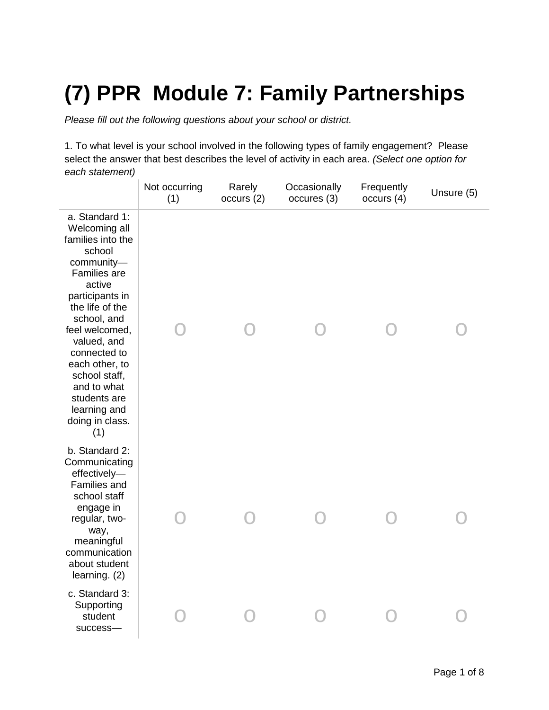## **(7) PPR Module 7: Family Partnerships**

*Please fill out the following questions about your school or district.*

1. To what level is your school involved in the following types of family engagement? Please select the answer that best describes the level of activity in each area. *(Select one option for each statement)*

|                                                                                                                                                                                                                                                                                                                          | Not occurring<br>(1) | Rarely<br>occurs (2) | Occasionally<br>occures (3) | Frequently<br>occurs(4) | Unsure (5) |
|--------------------------------------------------------------------------------------------------------------------------------------------------------------------------------------------------------------------------------------------------------------------------------------------------------------------------|----------------------|----------------------|-----------------------------|-------------------------|------------|
| a. Standard 1:<br>Welcoming all<br>families into the<br>school<br>community-<br>Families are<br>active<br>participants in<br>the life of the<br>school, and<br>feel welcomed,<br>valued, and<br>connected to<br>each other, to<br>school staff,<br>and to what<br>students are<br>learning and<br>doing in class.<br>(1) |                      |                      |                             |                         |            |
| b. Standard 2:<br>Communicating<br>effectively-<br>Families and<br>school staff<br>engage in<br>regular, two-<br>way,<br>meaningful<br>communication<br>about student<br>learning. $(2)$                                                                                                                                 |                      |                      |                             |                         |            |
| c. Standard 3:<br>Supporting<br>student<br>success-                                                                                                                                                                                                                                                                      |                      |                      |                             |                         |            |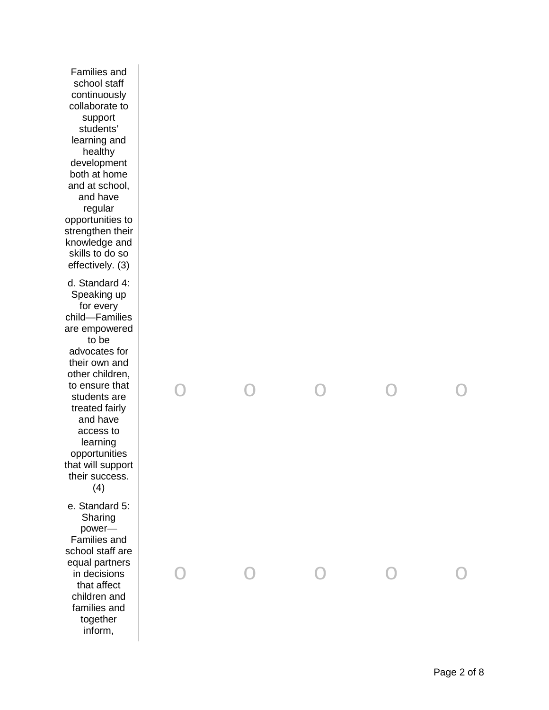Families and school staff continuously collaborate to support students' learning and healthy development both at home and at school, and have regular opportunities to strengthen their knowledge and skills to do so effectively. (3) d. Standard 4: Speaking up for every child —Families are empowered to be advocates for their own and other children, to ensure that students are treated fairly and have access to learning opportunities that will support their success. (4) e. Standard 5: Sharing power — Families and school staff are

equal partners in decisions that affect children and families and together inform,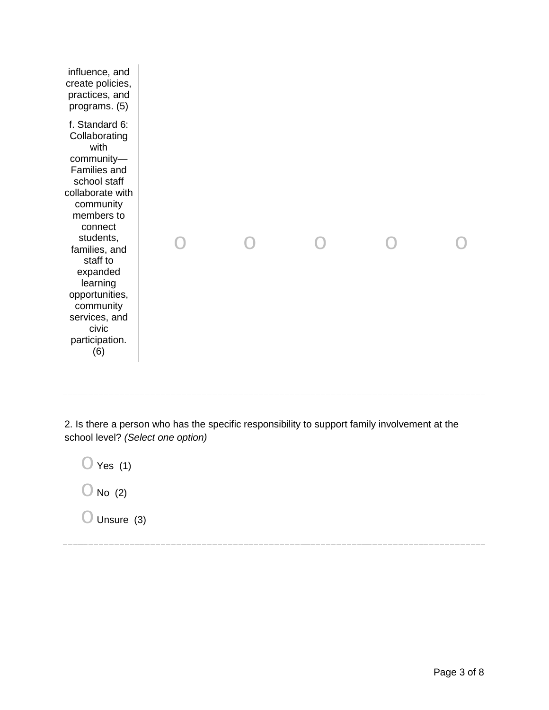| influence, and<br>create policies,<br>practices, and<br>programs. (5)                                                                                                                                                                                                                               |  |  |  |
|-----------------------------------------------------------------------------------------------------------------------------------------------------------------------------------------------------------------------------------------------------------------------------------------------------|--|--|--|
| f. Standard 6:<br>Collaborating<br>with<br>community-<br>Families and<br>school staff<br>collaborate with<br>community<br>members to<br>connect<br>students,<br>families, and<br>staff to<br>expanded<br>learning<br>opportunities,<br>community<br>services, and<br>civic<br>participation.<br>(6) |  |  |  |
|                                                                                                                                                                                                                                                                                                     |  |  |  |

2. Is there a person who has the specific responsibility to support family involvement at the school level? *(Select one option)*

 $\bigcirc$  Yes (1)  $\bigcirc$  No (2)  $\bigcirc$  Unsure (3)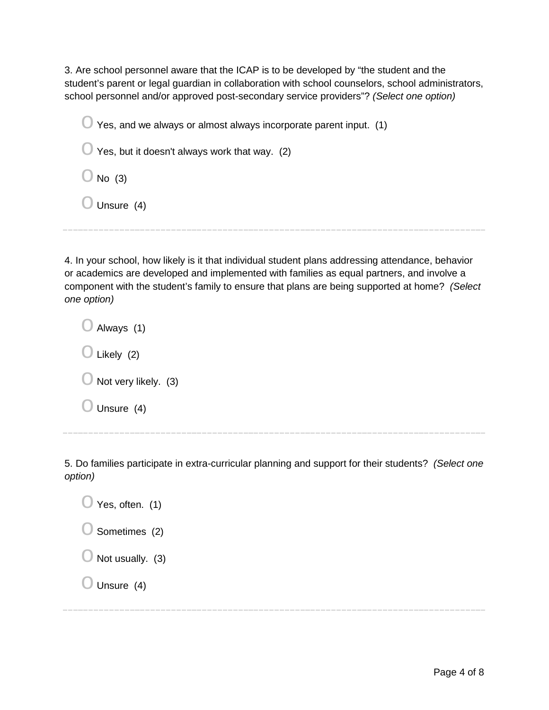3. Are school personnel aware that the ICAP is to be developed by "the student and the student's parent or legal guardian in collaboration with school counselors, school administrators, school personnel and/or approved post-secondary service providers"? *(Select one option)*

 $\bigcirc$  Yes, and we always or almost always incorporate parent input. (1)

 $\bigcirc$  Yes, but it doesn't always work that way. (2)

 $\bigcirc$  No (3)

 $\bigcirc$  Unsure (4)

4. In your school, how likely is it that individual student plans addressing attendance, behavior or academics are developed and implemented with families as equal partners, and involve a component with the student's family to ensure that plans are being supported at home? *(Select one option)*

 $\bigcirc$  Always (1)  $\bigcirc$  Likely (2)  $\bigcirc$  Not very likely. (3)  $\bigcirc$  Unsure (4)

5. Do families participate in extra-curricular planning and support for their students? *(Select one* 

*option)*

| $\bigcup$ Yes, often. (1)   |
|-----------------------------|
| $\bigcirc$ Sometimes (2)    |
| $\bigcirc$ Not usually. (3) |
| $\bigcup$ Unsure (4)        |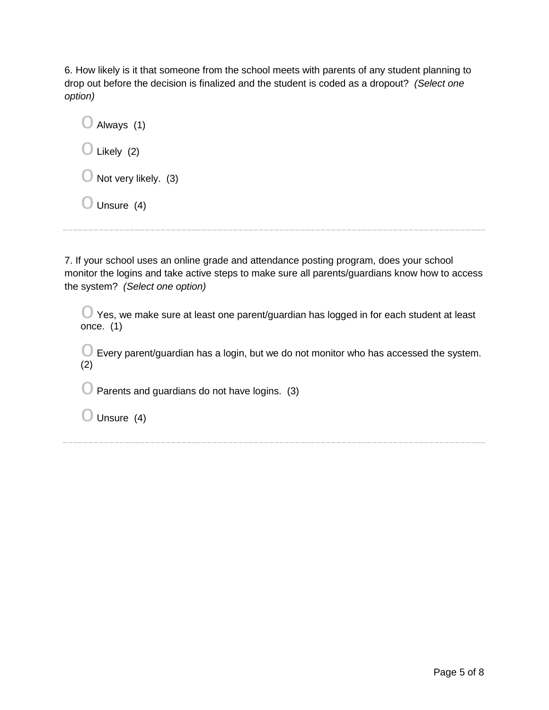6. How likely is it that someone from the school meets with parents of any student planning to drop out before the decision is finalized and the student is coded as a dropout? *(Select one option)*

| $\bigcirc$ Always (1)           |
|---------------------------------|
| $\bigcirc$ Likely (2)           |
| $\bigcirc$ Not very likely. (3) |
| $\bigcup$ Unsure (4)            |

7. If your school uses an online grade and attendance posting program, does your school monitor the logins and take active steps to make sure all parents/guardians know how to access the system? *(Select one option)*

 $\bigcirc$  Yes, we make sure at least one parent/guardian has logged in for each student at least once. (1)

 $\bigcirc$  Every parent/guardian has a login, but we do not monitor who has accessed the system. (2)

 $\bigcirc$  Parents and guardians do not have logins. (3)

 $\bigcirc$  Unsure (4)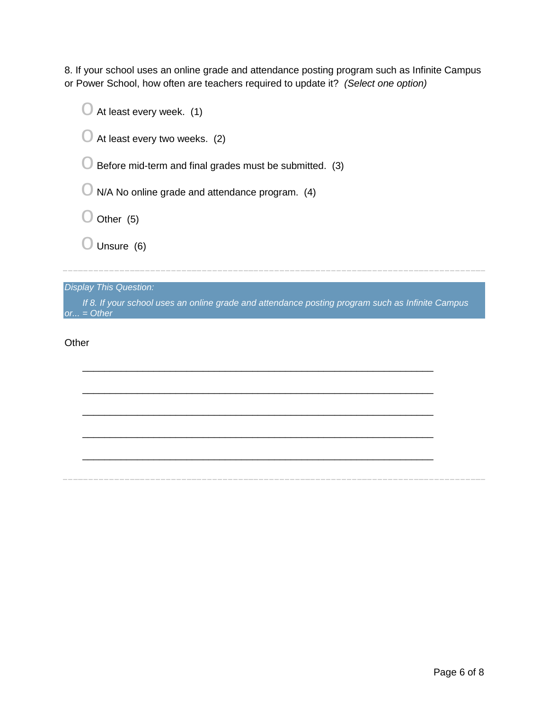8. If your school uses an online grade and attendance posting program such as Infinite Campus or Power School, how often are teachers required to update it? *(Select one option)*

| At least every week. (1)                                |
|---------------------------------------------------------|
| At least every two weeks. (2)                           |
| Before mid-term and final grades must be submitted. (3) |
| N/A No online grade and attendance program. (4)         |
| Other (5)                                               |
| Unsure (6)                                              |
|                                                         |
| <b>Display This Question:</b>                           |

*If 8. If your school uses an online grade and attendance posting program such as Infinite Campus or... = Other*

\_\_\_\_\_\_\_\_\_\_\_\_\_\_\_\_\_\_\_\_\_\_\_\_\_\_\_\_\_\_\_\_\_\_\_\_\_\_\_\_\_\_\_\_\_\_\_\_\_\_\_\_\_\_\_\_\_\_\_\_\_\_\_\_

\_\_\_\_\_\_\_\_\_\_\_\_\_\_\_\_\_\_\_\_\_\_\_\_\_\_\_\_\_\_\_\_\_\_\_\_\_\_\_\_\_\_\_\_\_\_\_\_\_\_\_\_\_\_\_\_\_\_\_\_\_\_\_\_

\_\_\_\_\_\_\_\_\_\_\_\_\_\_\_\_\_\_\_\_\_\_\_\_\_\_\_\_\_\_\_\_\_\_\_\_\_\_\_\_\_\_\_\_\_\_\_\_\_\_\_\_\_\_\_\_\_\_\_\_\_\_\_\_

\_\_\_\_\_\_\_\_\_\_\_\_\_\_\_\_\_\_\_\_\_\_\_\_\_\_\_\_\_\_\_\_\_\_\_\_\_\_\_\_\_\_\_\_\_\_\_\_\_\_\_\_\_\_\_\_\_\_\_\_\_\_\_\_

\_\_\_\_\_\_\_\_\_\_\_\_\_\_\_\_\_\_\_\_\_\_\_\_\_\_\_\_\_\_\_\_\_\_\_\_\_\_\_\_\_\_\_\_\_\_\_\_\_\_\_\_\_\_\_\_\_\_\_\_\_\_\_\_

**Other**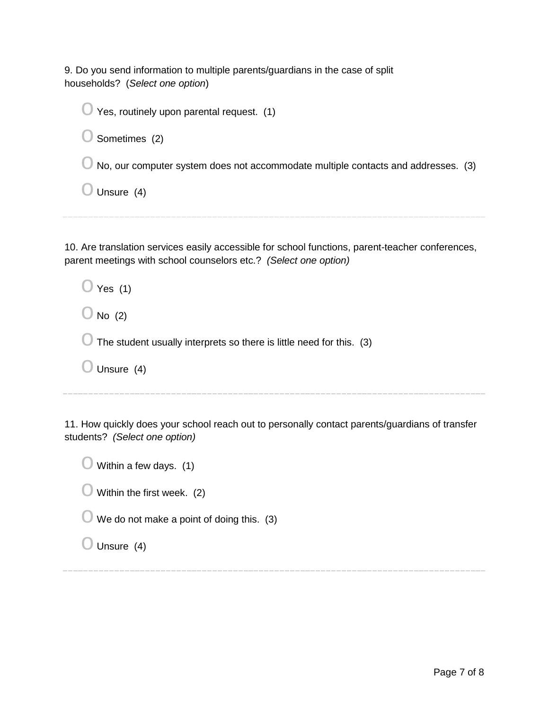9. Do you send information to multiple parents/guardians in the case of split households? (*Select one option*)

 $\bigcirc$  Yes, routinely upon parental request. (1)  $\bigcirc$  Sometimes (2)  $\bigcirc$  No, our computer system does not accommodate multiple contacts and addresses. (3)  $\bigcirc$  Unsure (4)

10. Are translation services easily accessible for school functions, parent-teacher conferences, parent meetings with school counselors etc.? *(Select one option)*

 $\bigcirc$  Yes (1)

 $\bigcirc$  No (2)

 $\bigcirc$  The student usually interprets so there is little need for this. (3)

 $\bigcirc$  Unsure (4)

11. How quickly does your school reach out to personally contact parents/guardians of transfer students? *(Select one option)*

 $\bigcirc$  Within a few days. (1)  $\bigcirc$  Within the first week. (2)  $\bigcirc$  We do not make a point of doing this. (3)  $\bigcirc$  Unsure (4)